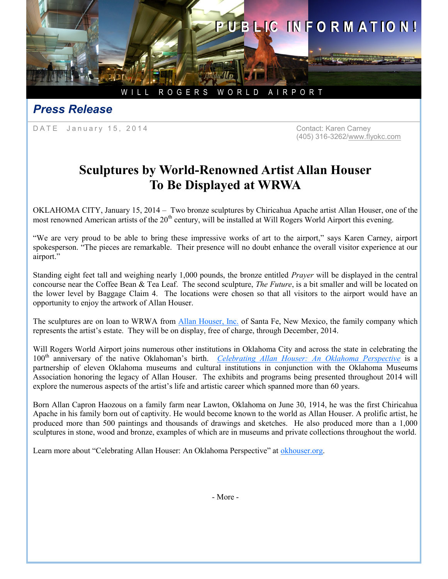

## *Press Release*

DATE January 15, 2014 Contact: Karen Carney

(405) 316-3262/www.flyokc.com

## **Sculptures by World-Renowned Artist Allan Houser To Be Displayed at WRWA**

OKLAHOMA CITY, January 15, 2014 – Two bronze sculptures by Chiricahua Apache artist Allan Houser, one of the most renowned American artists of the 20<sup>th</sup> century, will be installed at Will Rogers World Airport this evening.

"We are very proud to be able to bring these impressive works of art to the airport," says Karen Carney, airport spokesperson. "The pieces are remarkable. Their presence will no doubt enhance the overall visitor experience at our airport."

Standing eight feet tall and weighing nearly 1,000 pounds, the bronze entitled *Prayer* will be displayed in the central concourse near the Coffee Bean & Tea Leaf. The second sculpture, *The Future*, is a bit smaller and will be located on the lower level by Baggage Claim 4. The locations were chosen so that all visitors to the airport would have an opportunity to enjoy the artwork of Allan Houser.

The sculptures are on loan to WRWA from *Allan Houser*, Inc. of Santa Fe, New Mexico, the family company which represents the artist's estate. They will be on display, free of charge, through December, 2014.

Will Rogers World Airport joins numerous other institutions in Oklahoma City and across the state in celebrating the 100th anniversary of the native Oklahoman's birth. *[Celebrating Allan Houser: An Oklahoma Perspective](http://www.okhouser.org)* is a partnership of eleven Oklahoma museums and cultural institutions in conjunction with the Oklahoma Museums Association honoring the legacy of Allan Houser. The exhibits and programs being presented throughout 2014 will explore the numerous aspects of the artist's life and artistic career which spanned more than 60 years.

Born Allan Capron Haozous on a family farm near Lawton, Oklahoma on June 30, 1914, he was the first Chiricahua Apache in his family born out of captivity. He would become known to the world as Allan Houser. A prolific artist, he produced more than 500 paintings and thousands of drawings and sketches. He also produced more than a 1,000 sculptures in stone, wood and bronze, examples of which are in museums and private collections throughout the world.

Learn more about "Celebrating Allan Houser: An Oklahoma Perspective" at [okhouser.org.](http://www.okhouser.org)

- More -